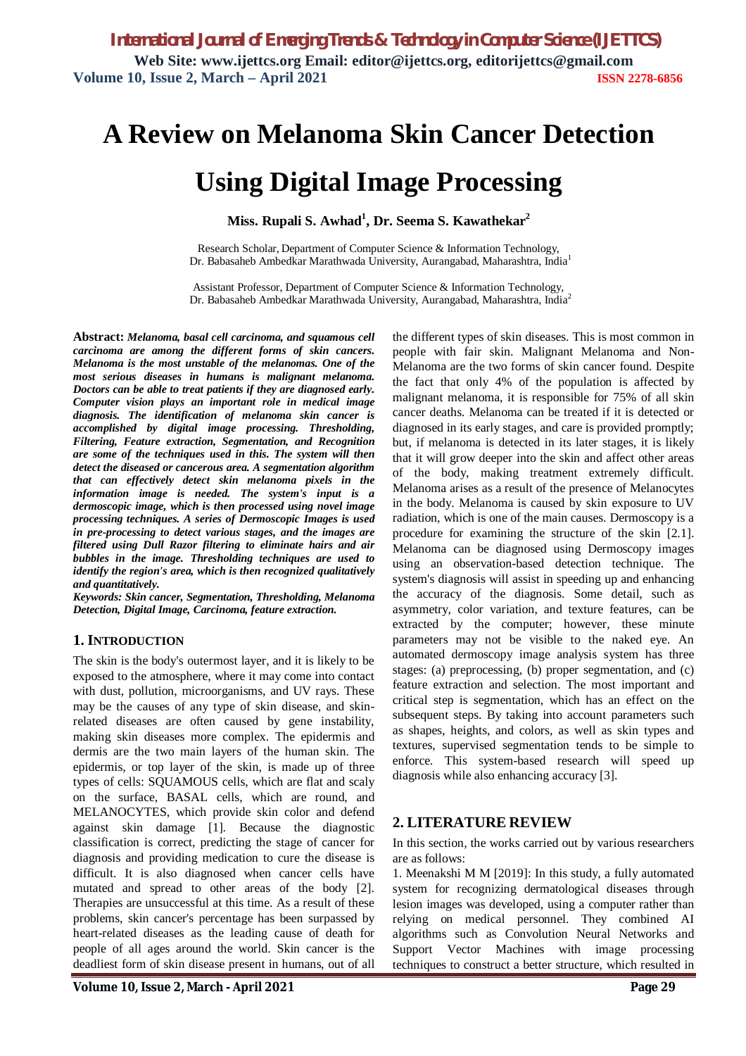# **A Review on Melanoma Skin Cancer Detection**

# **Using Digital Image Processing**

**Miss. Rupali S. Awhad<sup>1</sup> , Dr. Seema S. Kawathekar<sup>2</sup>**

Research Scholar, Department of Computer Science & Information Technology, Dr. Babasaheb Ambedkar Marathwada University, Aurangabad, Maharashtra, India<sup>1</sup>

Assistant Professor, Department of Computer Science & Information Technology, Dr. Babasaheb Ambedkar Marathwada University, Aurangabad, Maharashtra, India<sup>2</sup>

**Abstract:** *Melanoma, basal cell carcinoma, and squamous cell carcinoma are among the different forms of skin cancers. Melanoma is the most unstable of the melanomas. One of the most serious diseases in humans is malignant melanoma. Doctors can be able to treat patients if they are diagnosed early. Computer vision plays an important role in medical image diagnosis. The identification of melanoma skin cancer is accomplished by digital image processing. Thresholding, Filtering, Feature extraction, Segmentation, and Recognition are some of the techniques used in this. The system will then detect the diseased or cancerous area. A segmentation algorithm that can effectively detect skin melanoma pixels in the information image is needed. The system's input is a dermoscopic image, which is then processed using novel image processing techniques. A series of Dermoscopic Images is used in pre-processing to detect various stages, and the images are filtered using Dull Razor filtering to eliminate hairs and air bubbles in the image. Thresholding techniques are used to identify the region's area, which is then recognized qualitatively and quantitatively.*

*Keywords: Skin cancer, Segmentation, Thresholding, Melanoma Detection, Digital Image, Carcinoma, feature extraction.*

#### **1. INTRODUCTION**

The skin is the body's outermost layer, and it is likely to be exposed to the atmosphere, where it may come into contact with dust, pollution, microorganisms, and UV rays. These may be the causes of any type of skin disease, and skinrelated diseases are often caused by gene instability, making skin diseases more complex. The epidermis and dermis are the two main layers of the human skin. The epidermis, or top layer of the skin, is made up of three types of cells: SQUAMOUS cells, which are flat and scaly on the surface, BASAL cells, which are round, and MELANOCYTES, which provide skin color and defend against skin damage [1]. Because the diagnostic classification is correct, predicting the stage of cancer for diagnosis and providing medication to cure the disease is difficult. It is also diagnosed when cancer cells have mutated and spread to other areas of the body [2]. Therapies are unsuccessful at this time. As a result of these problems, skin cancer's percentage has been surpassed by heart-related diseases as the leading cause of death for people of all ages around the world. Skin cancer is the deadliest form of skin disease present in humans, out of all the different types of skin diseases. This is most common in people with fair skin. Malignant Melanoma and Non-Melanoma are the two forms of skin cancer found. Despite the fact that only 4% of the population is affected by malignant melanoma, it is responsible for 75% of all skin cancer deaths. Melanoma can be treated if it is detected or diagnosed in its early stages, and care is provided promptly; but, if melanoma is detected in its later stages, it is likely that it will grow deeper into the skin and affect other areas of the body, making treatment extremely difficult. Melanoma arises as a result of the presence of Melanocytes in the body. Melanoma is caused by skin exposure to UV radiation, which is one of the main causes. Dermoscopy is a procedure for examining the structure of the skin [2.1]. Melanoma can be diagnosed using Dermoscopy images using an observation-based detection technique. The system's diagnosis will assist in speeding up and enhancing the accuracy of the diagnosis. Some detail, such as asymmetry, color variation, and texture features, can be extracted by the computer; however, these minute parameters may not be visible to the naked eye. An automated dermoscopy image analysis system has three stages: (a) preprocessing, (b) proper segmentation, and (c) feature extraction and selection. The most important and critical step is segmentation, which has an effect on the subsequent steps. By taking into account parameters such as shapes, heights, and colors, as well as skin types and textures, supervised segmentation tends to be simple to enforce. This system-based research will speed up diagnosis while also enhancing accuracy [3].

### **2. LITERATURE REVIEW**

In this section, the works carried out by various researchers are as follows:

1. Meenakshi M M [2019]: In this study, a fully automated system for recognizing dermatological diseases through lesion images was developed, using a computer rather than relying on medical personnel. They combined AI algorithms such as Convolution Neural Networks and Support Vector Machines with image processing techniques to construct a better structure, which resulted in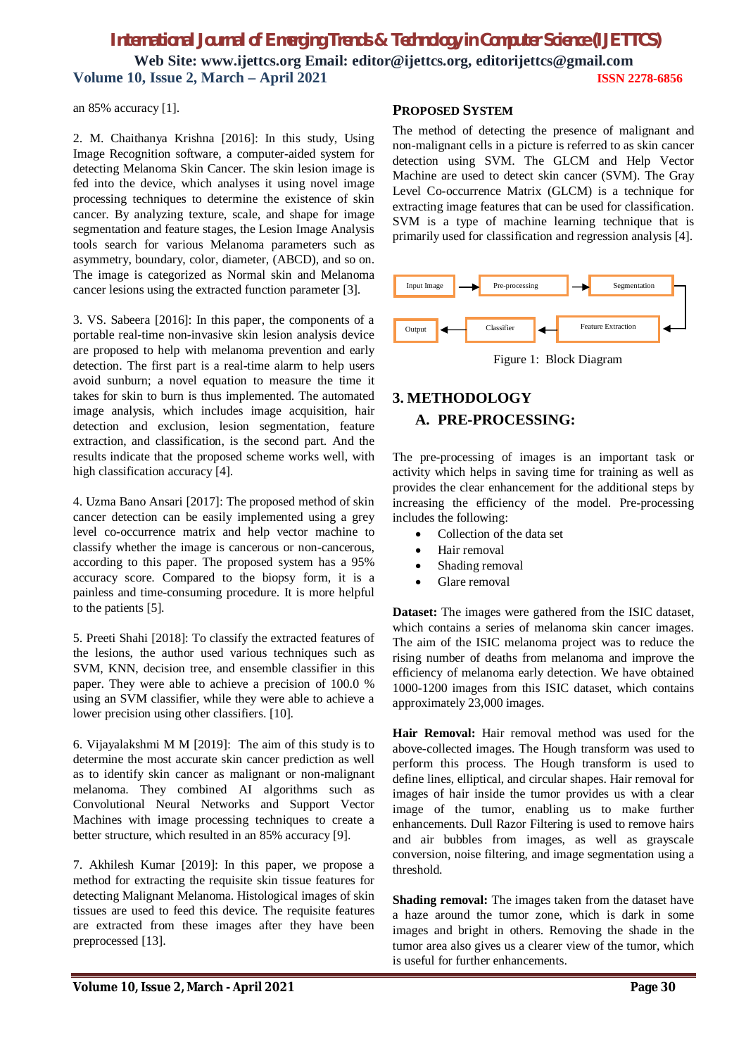# *International Journal of Emerging Trends & Technology in Computer Science (IJETTCS)* **Web Site: www.ijettcs.org Email: editor@ijettcs.org, editorijettcs@gmail.com Volume 10, Issue 2, March – April 2021 ISSN 2278-6856**

an 85% accuracy [1].

2. M. Chaithanya Krishna [2016]: In this study, Using Image Recognition software, a computer-aided system for detecting Melanoma Skin Cancer. The skin lesion image is fed into the device, which analyses it using novel image processing techniques to determine the existence of skin cancer. By analyzing texture, scale, and shape for image segmentation and feature stages, the Lesion Image Analysis tools search for various Melanoma parameters such as asymmetry, boundary, color, diameter, (ABCD), and so on. The image is categorized as Normal skin and Melanoma cancer lesions using the extracted function parameter [3].

3. VS. Sabeera [2016]: In this paper, the components of a portable real-time non-invasive skin lesion analysis device are proposed to help with melanoma prevention and early detection. The first part is a real-time alarm to help users avoid sunburn; a novel equation to measure the time it takes for skin to burn is thus implemented. The automated image analysis, which includes image acquisition, hair detection and exclusion, lesion segmentation, feature extraction, and classification, is the second part. And the results indicate that the proposed scheme works well, with high classification accuracy [4].

4. Uzma Bano Ansari [2017]: The proposed method of skin cancer detection can be easily implemented using a grey level co-occurrence matrix and help vector machine to classify whether the image is cancerous or non-cancerous, according to this paper. The proposed system has a 95% accuracy score. Compared to the biopsy form, it is a painless and time-consuming procedure. It is more helpful to the patients [5].

5. Preeti Shahi [2018]: To classify the extracted features of the lesions, the author used various techniques such as SVM, KNN, decision tree, and ensemble classifier in this paper. They were able to achieve a precision of 100.0 % using an SVM classifier, while they were able to achieve a lower precision using other classifiers. [10].

6. Vijayalakshmi M M [2019]: The aim of this study is to determine the most accurate skin cancer prediction as well as to identify skin cancer as malignant or non-malignant melanoma. They combined AI algorithms such as Convolutional Neural Networks and Support Vector Machines with image processing techniques to create a better structure, which resulted in an 85% accuracy [9].

7. Akhilesh Kumar [2019]: In this paper, we propose a method for extracting the requisite skin tissue features for detecting Malignant Melanoma. Histological images of skin tissues are used to feed this device. The requisite features are extracted from these images after they have been preprocessed [13].

#### **PROPOSED SYSTEM**

The method of detecting the presence of malignant and non-malignant cells in a picture is referred to as skin cancer detection using SVM. The GLCM and Help Vector Machine are used to detect skin cancer (SVM). The Gray Level Co-occurrence Matrix (GLCM) is a technique for extracting image features that can be used for classification. SVM is a type of machine learning technique that is primarily used for classification and regression analysis [4].



# **3. METHODOLOGY A. PRE-PROCESSING:**

The pre-processing of images is an important task or activity which helps in saving time for training as well as provides the clear enhancement for the additional steps by increasing the efficiency of the model. Pre-processing includes the following:

- Collection of the data set
- Hair removal
- Shading removal
- Glare removal

**Dataset:** The images were gathered from the ISIC dataset, which contains a series of melanoma skin cancer images. The aim of the ISIC melanoma project was to reduce the rising number of deaths from melanoma and improve the efficiency of melanoma early detection. We have obtained 1000-1200 images from this ISIC dataset, which contains approximately 23,000 images.

**Hair Removal:** Hair removal method was used for the above-collected images. The Hough transform was used to perform this process. The Hough transform is used to define lines, elliptical, and circular shapes. Hair removal for images of hair inside the tumor provides us with a clear image of the tumor, enabling us to make further enhancements. Dull Razor Filtering is used to remove hairs and air bubbles from images, as well as grayscale conversion, noise filtering, and image segmentation using a threshold.

**Shading removal:** The images taken from the dataset have a haze around the tumor zone, which is dark in some images and bright in others. Removing the shade in the tumor area also gives us a clearer view of the tumor, which is useful for further enhancements.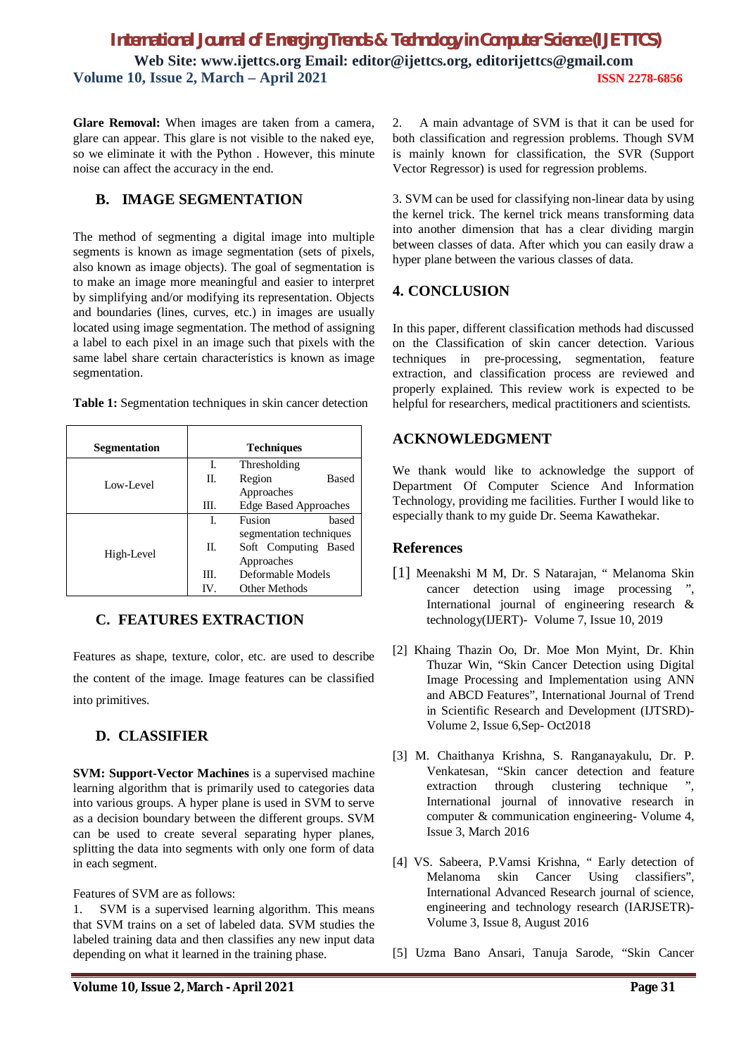# *International Journal of Emerging Trends & Technology in Computer Science (IJETTCS)* **Web Site: www.ijettcs.org Email: editor@ijettcs.org, editorijettcs@gmail.com Volume 10, Issue 2, March – April 2021 ISSN 2278-6856**

**Glare Removal:** When images are taken from a camera, glare can appear. This glare is not visible to the naked eye, so we eliminate it with the Python . However, this minute noise can affect the accuracy in the end.

## **B. IMAGE SEGMENTATION**

The method of segmenting a digital image into multiple segments is known as image segmentation (sets of pixels, also known as image objects). The goal of segmentation is to make an image more meaningful and easier to interpret by simplifying and/or modifying its representation. Objects and boundaries (lines, curves, etc.) in images are usually located using image segmentation. The method of assigning a label to each pixel in an image such that pixels with the same label share certain characteristics is known as image segmentation.

**Table 1:** Segmentation techniques in skin cancer detection

| Segmentation |      | <b>Techniques</b>                                             |
|--------------|------|---------------------------------------------------------------|
| Low-Level    | L.   | Thresholding                                                  |
|              | H.   | Region<br><b>Based</b>                                        |
|              |      | Approaches                                                    |
|              | III. | <b>Edge Based Approaches</b>                                  |
| High-Level   | L.   | Fusion<br>based                                               |
|              | H.   | segmentation techniques<br>Soft Computing Based<br>Approaches |
|              | III. | Deformable Models                                             |
|              | IV.  | Other Methods                                                 |

## **C. FEATURES EXTRACTION**

Features as shape, texture, color, etc. are used to describe the content of the image. Image features can be classified into primitives.

## **D. CLASSIFIER**

**SVM: Support-Vector Machines** is a supervised machine learning algorithm that is primarily used to categories data into various groups. A hyper plane is used in SVM to serve as a decision boundary between the different groups. SVM can be used to create several separating hyper planes, splitting the data into segments with only one form of data in each segment.

#### Features of SVM are as follows:

1. SVM is a supervised learning algorithm. This means that SVM trains on a set of labeled data. SVM studies the labeled training data and then classifies any new input data depending on what it learned in the training phase.

2. A main advantage of SVM is that it can be used for both classification and regression problems. Though SVM is mainly known for classification, the SVR (Support Vector Regressor) is used for regression problems.

3. SVM can be used for classifying non-linear data by using the kernel trick. The kernel trick means transforming data into another dimension that has a clear dividing margin between classes of data. After which you can easily draw a hyper plane between the various classes of data.

## **4. CONCLUSION**

In this paper, different classification methods had discussed on the Classification of skin cancer detection. Various techniques in pre-processing, segmentation, feature extraction, and classification process are reviewed and properly explained. This review work is expected to be helpful for researchers, medical practitioners and scientists.

## **ACKNOWLEDGMENT**

We thank would like to acknowledge the support of Department Of Computer Science And Information Technology, providing me facilities. Further I would like to especially thank to my guide Dr. Seema Kawathekar.

### **References**

- [1] Meenakshi M M, Dr. S Natarajan, " Melanoma Skin cancer detection using image processing ", International journal of engineering research & technology(IJERT)- Volume 7, Issue 10, 2019
- [2] Khaing Thazin Oo, Dr. Moe Mon Myint, Dr. Khin Thuzar Win, "Skin Cancer Detection using Digital Image Processing and Implementation using ANN and ABCD Features", International Journal of Trend in Scientific Research and Development (IJTSRD)- Volume 2, Issue 6,Sep- Oct2018
- [3] M. Chaithanya Krishna, S. Ranganayakulu, Dr. P. Venkatesan, "Skin cancer detection and feature extraction through clustering technique International journal of innovative research in computer & communication engineering- Volume 4, Issue 3, March 2016
- [4] VS. Sabeera, P.Vamsi Krishna, " Early detection of Melanoma skin Cancer Using classifiers", International Advanced Research journal of science, engineering and technology research (IARJSETR)- Volume 3, Issue 8, August 2016
- [5] Uzma Bano Ansari, Tanuja Sarode, "Skin Cancer